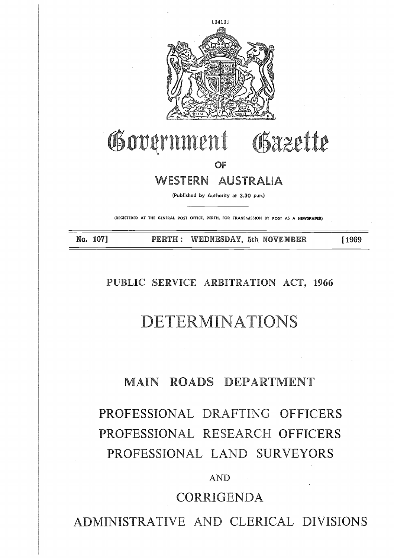

# **CESSERN AUSTRALIA**<br>
THE GIVEN THE GIVENIA DUSTRALIA<br>
(PUblished by Authority at 3.30 p.m.)<br>
TRO. 107] **PERTH** : WEDNESDAY, 5th NOVEMBER [1969

**OF**

(Published by Authority at 3.30 p.m.)

(REGISTERED AT THE GENERAL POST OFFICE, PERTH, FOR TRANSMISSION BY POST AS **A NEWSPAPER)**

### **PUBLIC SERVICE ARBITRATION ACT, 1966**

# **DETERMINATIONS**

### **MAIN ROADS DEPARTMENT**

# PROFESSIONAL DRAFTING OFFICERS PROFESSIONAL RESEARCH OFFICERS PROFESSIONAL LAND SURVEYORS

### AND

## CORRIGENDA

ADMINISTRATIVE AND CLERICAL DIVISIONS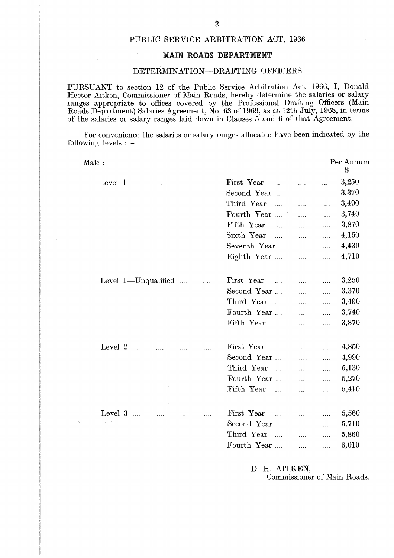### PUBLIC SERVICE ARBITRATION ACT, 1966

### **MAIN ROADS DEPARTMENT**

### DETERMINATION—DRAFTING OFFICERS

PURSUANT to section 12 of the Public Service Arbitration Act, 1966, I, Donald Hector Aitken, Commissioner of Main Roads, hereby determine the salaries or salary ranges appropriate to offices covered by the Professional Drafting Officers (Main Roads Department) Salaries Agreement, No. 63 of 1969, as at 12th July, 1968, in terms of the salaries or salary ranges laid down in Clauses 5 and 6 of that Agreement. SUAN<br>or Aitk<br>es app:<br>ls Depa<br>e salar<br>For con<br>wing le<br>Male :<br>Le

For convenience the salaries or salary ranges allocated have been indicated by the following levels : —

| DETERMINATION-DRAFTING OFFICERS                                                                                                                                                                                                                                                                                                                                                                                                |                        |                                            |           |                               |
|--------------------------------------------------------------------------------------------------------------------------------------------------------------------------------------------------------------------------------------------------------------------------------------------------------------------------------------------------------------------------------------------------------------------------------|------------------------|--------------------------------------------|-----------|-------------------------------|
| $\text{RSUANT}$ to section 12 of the Public Service Arbitration Act, 1966, I, Donald<br>tor Aitken, Commissioner of Main Roads, hereby determine the salaries or salary<br>es appropriate to offices covered by the Professional Drafting Officers (Main<br>ds Department) Salaries Agreement, No. 63 of 1969, as at 12th July, 1968, in terms<br>he salaries or salary ranges laid down in Clauses 5 and 6 of that Agreement. |                        |                                            |           |                               |
| For convenience the salaries or salary ranges allocated have been indicated by the<br>wing levels $: -$                                                                                                                                                                                                                                                                                                                        |                        |                                            |           |                               |
| Male:                                                                                                                                                                                                                                                                                                                                                                                                                          |                        |                                            |           | Per Annum<br>\$               |
| Level $1 \ldots \ldots$                                                                                                                                                                                                                                                                                                                                                                                                        | First Year             | $\cdots$                                   | $\ldots$  | 3,250                         |
|                                                                                                                                                                                                                                                                                                                                                                                                                                | Second Year            | .                                          | $\ldots$  | 3,370                         |
|                                                                                                                                                                                                                                                                                                                                                                                                                                | Third Year             | $\ldots$                                   | .         | 3,490                         |
|                                                                                                                                                                                                                                                                                                                                                                                                                                | Fourth Year            | $\cdots$                                   | $\ldots$  | 3,740                         |
|                                                                                                                                                                                                                                                                                                                                                                                                                                | Fifth Year             | $\cdots$                                   | $\ldots$  | 3,870                         |
|                                                                                                                                                                                                                                                                                                                                                                                                                                | Sixth Year             | $\ldots$                                   | .         | 4,150                         |
|                                                                                                                                                                                                                                                                                                                                                                                                                                | Seventh Year           | $\cdots$                                   | $\cdots$  | 4,430                         |
|                                                                                                                                                                                                                                                                                                                                                                                                                                | Eighth Year            | $\ldots$                                   | $\ldots$  | 4,710                         |
| Level $1$ —Unqualified                                                                                                                                                                                                                                                                                                                                                                                                         | First Year             | .                                          | $\ldots$  | 3,250                         |
|                                                                                                                                                                                                                                                                                                                                                                                                                                | Second Year            | $\cdots$                                   | .         | 3,370                         |
|                                                                                                                                                                                                                                                                                                                                                                                                                                | Third Year             | $\cdots$                                   | $\ldots$  | 3,490                         |
|                                                                                                                                                                                                                                                                                                                                                                                                                                | Fourth Year            | $\cdots$                                   | .         | 3,740                         |
|                                                                                                                                                                                                                                                                                                                                                                                                                                | Fifth Year             | .                                          | $\ddotsc$ | 3,870                         |
| Level $2$                                                                                                                                                                                                                                                                                                                                                                                                                      | First Year             | $\mathbf{1}$ , $\mathbf{1}$ , $\mathbf{1}$ | $\cdots$  | 4,850                         |
|                                                                                                                                                                                                                                                                                                                                                                                                                                | Second Year            | $\cdots$                                   | $\cdots$  | 4,990                         |
|                                                                                                                                                                                                                                                                                                                                                                                                                                | Third Year<br>$\cdots$ | .                                          | .         | 5,130                         |
|                                                                                                                                                                                                                                                                                                                                                                                                                                | Fourth Year            | $\ldots$                                   | .         | 5,270                         |
| $\mathcal{X}$ .                                                                                                                                                                                                                                                                                                                                                                                                                | Fifth Year<br>$\cdots$ | $\cdots$                                   | $\ldots$  | 5,410                         |
| Level 3                                                                                                                                                                                                                                                                                                                                                                                                                        | First Year             |                                            |           | 5,560                         |
| $\varphi(x)$ and $\varphi(x)$ . The set of $\varphi(x)$                                                                                                                                                                                                                                                                                                                                                                        | Second Year            | .                                          | .         | 5,710                         |
|                                                                                                                                                                                                                                                                                                                                                                                                                                | Third Year             | .                                          | .         | 5,860                         |
|                                                                                                                                                                                                                                                                                                                                                                                                                                | Fourth Year            | .                                          | $\cdots$  | 6,010                         |
|                                                                                                                                                                                                                                                                                                                                                                                                                                | D. H. AITKEN,          |                                            |           | $CM$ $\sim$ $D$ $\sim$ $\sim$ |

D. H. AITKEN, Commissioner of Main Roads.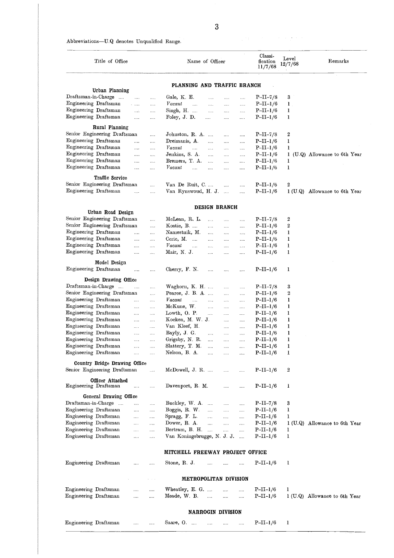### Abbreviations—U.Q denotes Unqualified Range.

|                                                |                                                               |                      |                          |                                          | 3                    |                      |              |                                |                           |                               |
|------------------------------------------------|---------------------------------------------------------------|----------------------|--------------------------|------------------------------------------|----------------------|----------------------|--------------|--------------------------------|---------------------------|-------------------------------|
|                                                | Abbreviations—U.Q denotes Unqualified Range.                  |                      |                          |                                          |                      |                      |              |                                |                           |                               |
|                                                | Title of Office                                               |                      |                          | Name of Officer                          |                      |                      |              | Classi-<br>fication<br>11/7/68 | $_{\rm Level}$<br>12/7/68 | Remarks                       |
|                                                | Urban Planning                                                |                      |                          | PLANNING AND TRAFFIC BRANCH              |                      |                      |              |                                |                           |                               |
|                                                | Draftsman-in-Charge                                           | $\cdots$             | .                        | Gale, K. E.                              | $\cdots$             | .                    | $\cdots$     | $P-II-7/8$                     | 3                         |                               |
| Engineering Draftsman<br>Engineering Draftsman |                                                               | $\ldots$             |                          | Vacant<br>$\ddotsc$                      | $\cdots$             | $\cdots$             | $\cdots$     | $P-II-I/6$                     | 1                         |                               |
| Engineering Draftsman                          |                                                               | $\ldots$<br>$\cdots$ | <br>.                    | Singh, H.<br>Foley, J. D.                | $\cdots$<br>$\cdots$ | $\sim 100$<br>       | $\cdots$<br> | $P-II-I/6$<br>$P-II-I/6$       | 1<br>1                    |                               |
|                                                | Rural Planning                                                |                      |                          |                                          |                      |                      |              |                                |                           |                               |
|                                                | Senior Engineering Draftsman                                  |                      | $\cdots$                 | Johnston, R. A.                          |                      |                      |              | $P-II-7/8$                     | 2                         |                               |
| Engineering Draftsman                          |                                                               | $\cdots$             | $\cdots$                 | Dreimanis, A.                            | $\cdots$             | $\cdots$             | $\cdots$     | $P-II-I/6$                     | 1                         |                               |
| Engineering Draftsman                          |                                                               | $\ldots$             | $\cdots$                 | Vacant<br>$\cdots$                       | $\ldots$             | $\ldots$             | $\cdots$     | $P-II-I/6$                     | 1                         |                               |
| Engineering Draftsman<br>Engineering Draftsman |                                                               | $\cdots$             | $\cdots$                 | Jenkins, S. A.                           | $\cdots$             | $\cdots$             | $\ldots$ .   | $P-II-I/6$                     | 1                         | (U.Q) Allowance to 6th Year   |
| Engineering Draftsman                          |                                                               | $\cdots$<br>$\ldots$ | $\ldots$<br>$\cdots$     | Bremers, T. A.<br>Vacant<br>$\cdots$     | .<br>$\cdots$        | $\cdots$<br>$\cdots$ | <br>$\cdots$ | $P-II-I/6$<br>$P-II-I/6$       | 1<br>1                    |                               |
|                                                | <b>Traffic Service</b>                                        |                      |                          |                                          |                      |                      |              |                                |                           |                               |
|                                                | Senior Engineering Draftsman                                  |                      | $\cdots$                 | Van De Ruit, C.                          |                      | $\cdots$             | $\cdots$     | $P-II-I/6$                     | 2                         |                               |
| Engineering Draftsman                          |                                                               | $\ddotsc$            | $\cdots$                 | Van Rynswoud, H. J.                      |                      |                      | $\cdots$     | $P-II-I/6$                     |                           | 1 (U.Q) Allowance to 6th Year |
|                                                |                                                               |                      |                          |                                          |                      |                      |              |                                |                           |                               |
|                                                | Urban Road Design                                             |                      |                          |                                          | <b>DESIGN BRANCH</b> |                      |              |                                |                           |                               |
|                                                | Senior Engineering Draftsman                                  |                      | $\cdots$                 | McLean, R. L.                            | $\cdots$             | $\cdots$             |              | $P-II-7/8$                     | 2                         |                               |
|                                                | Senior Engineering Draftsman                                  |                      | $\cdots$                 | Kostic, B.                               | $\cdots$             | $\cdots$             | $\cdots$     | $P-II-I/6$                     | 2                         |                               |
| Engineering Draftsman                          |                                                               | $\cdots$             | $\ldots$                 | Namestnik, M.                            | $\cdots$             | $\cdots$             | $\ldots$     | $P-II-I/6$                     | 1                         |                               |
| Engineering Draftsman                          |                                                               | $\cdots$             | $\cdots$                 | Ceric, $M$ .                             | $\cdots$             | $\cdots$             | $\cdots$     | $P-II-I/6$                     | 1                         |                               |
| Engineering Draftsman                          |                                                               | $\cdots$             | $\cdots$                 | Vacant<br>$\cdots$                       | $\cdots$             | $\cdots$             | $\cdots$     | $P-II-I/6$                     | ı                         |                               |
| Engineering Draftsman                          |                                                               | $\cdots$             | $\cdots$                 | Mair, N. J.                              | $\ldots$             |                      |              | $P-II-I/6$                     | ı                         |                               |
|                                                | Model Design                                                  |                      |                          |                                          |                      |                      |              |                                |                           |                               |
| Engineering Draftsman                          |                                                               | .                    | .                        | Cherry, F. N.                            | .                    | $\cdots$             | .            | $P-II-I/6$                     | ı                         |                               |
|                                                | Design Drawing Office                                         |                      |                          |                                          |                      |                      |              |                                |                           |                               |
| Draftsman-in-Charge                            | $\sim$<br>Senior Engineering Draftsman                        | $\cdots$             | $\cdots$                 | Waghorn, K. H.                           |                      | $\cdots$             | .            | $P-II-7/8$                     | 3                         |                               |
| Engineering Draftsman                          |                                                               | $\cdots$             | $\cdots$<br>             | Pearce, J. B. A.<br>Vacant<br>$\dddotsc$ | $\cdots$             | $\cdots$             | $\cdots$     | $P-II-I/6$<br>$P-II-I/6$       | $\boldsymbol{2}$<br>1     |                               |
| Engineering Draftsman                          |                                                               | $\ddotsc$            | $\cdots$                 | McKune, W.                               | $\cdots$             | $\ldots$<br>$\cdots$ | <br>$\cdots$ | $P-II-I/6$                     | 1                         |                               |
| Engineering Draftsman                          |                                                               | $\ldots$             | $\ldots$                 | Lowth, O. P.                             | $\cdots$             | $\ldots$             | $\cdots$     | $P-II-I/6$                     | ı                         |                               |
| Engineering Draftsman                          |                                                               | $\ldots$             | $\cdots$                 | Kocken, M. W. J.                         |                      | $\cdots$             | $\ldots$     | $P-II-I/6$                     | 1                         |                               |
| Engineering Draftsman                          |                                                               | $\ldots$             | $\ldots$                 | Van Kleef, H.                            |                      | $\cdots$             | $\cdots$     | $P-II-I/6$                     | 1                         |                               |
| Engineering Draftsman                          |                                                               | $\cdots$             | $\cdots$                 | Bayly, J. G.                             | $\cdots$             | $\cdots$             | $\ldots$     | $P-II-I/6$                     | 1                         |                               |
| Engineering Draftsman                          |                                                               | $\cdots$             | $\cdots$                 | Grigsby, N. R.                           | $\ldots$             | $\ldots$ .           | $\ldots$     | $P-II-I/6$                     | 1                         |                               |
| Engineering Draftsman                          |                                                               | $\cdots$             | $\cdots$                 | Slattery, T. M.                          | $\cdots$             | $\cdots$             | $\cdots$     | $P-II-I/6$                     | ı                         |                               |
| Engineering Draftsman                          |                                                               | $\cdots$             |                          | Nelson, B. A.                            | $\ldots$             | $\cdots$             | $\ddotsc$    | $P-II-I/6$                     | 1                         |                               |
|                                                | Country Bridge Drawing Office<br>Senior Engineering Draftsman |                      |                          | McDowell, J. R.                          |                      |                      |              |                                | 2                         |                               |
|                                                |                                                               |                      | $\cdots$                 |                                          |                      | $\cdots$             | $\cdots$     | $P-II-I/6$                     |                           |                               |
| Engineering Draftsman                          | Officer Attached                                              | $\cdots$             | $\cdots$                 | Davenport, R. M.                         |                      | $\cdots$             | $\cdots$     | $P-II-I/6$                     | 1                         |                               |
|                                                | General Drawing Office                                        |                      |                          |                                          |                      |                      |              |                                |                           |                               |
|                                                | Draftsman-in-Charge                                           | $\cdots$             | $\cdots$                 | Buckley, W. A.                           |                      | $\sim 100$           | $\cdots$     | $P-II-7/8$                     | 3                         |                               |
| Engineering Draftsman                          |                                                               | $\cdots$             | $\ldots$                 | Boggis, R. W.                            | $\cdots$             | $\ldots$             | $\cdots$     | $P-II-I/6$                     | ı                         |                               |
| Engineering Draftsman                          |                                                               | $\cdots$             | $\cdots$                 | Spragg, F. L.                            | $\ldots$             | $\cdots$             | $\cdots$     | $P-II-I/6$                     | ı                         |                               |
| Engineering Draftsman                          |                                                               | $\cdots$             | $\ddotsc$                | Dower, R. A.                             | $\sim$               | $\sim$ .             | in.          | $P-II-I/6$                     |                           | 1 (U.Q) Allowance to 6th Year |
| Engineering Diaftsman                          |                                                               | $\cdots$             | $\cdots$                 | Bertram, B. H.                           |                      | $\cdots$             | $\cdots$     | $P-II-I/6$                     | 1                         |                               |
| Engineering Draftsman                          |                                                               | $\sim$ .             | $\cdots$                 | Van Koningsbrugge, N. J. J.              |                      |                      |              | $P-II-I/6$                     | 1                         |                               |
|                                                |                                                               |                      |                          | MITCHELL FREEWAY PROJECT OFFICE          |                      |                      |              |                                |                           |                               |
| Engineering Draftsman                          |                                                               | $\cdots$             |                          | Stone, R. J.                             | $\cdots$             | $\cdots$             | $\cdots$     | $P-II-I/6$                     | 1                         |                               |
|                                                |                                                               |                      |                          |                                          |                      |                      |              |                                |                           |                               |
|                                                |                                                               |                      | $\lambda = 1, \ldots, n$ | <b>METROPOLITAN DIVISION</b>             |                      |                      |              |                                |                           |                               |
| Engineering Draftsman                          |                                                               | $\cdots$             |                          | Wheatley, E. G.                          |                      | $\cdots$             |              | $P-II-I/6$                     | 1                         |                               |
| Engineering Draftsman                          |                                                               | $\cdots$             | $\cdots$                 | Meade, W. B.                             | $\cdots$             | $\cdots$             |              | $P-II-I/6$                     |                           | 1 (U.Q) Allowance to 6th Year |
|                                                |                                                               |                      |                          |                                          |                      |                      |              |                                |                           |                               |
|                                                |                                                               |                      |                          | <b>NARROGIN DIVISION</b>                 |                      |                      |              |                                |                           |                               |
| Engineering Draftsman                          |                                                               | $\cdots$             | $\cdots$                 | Saare, O.                                | $\sim$ $\sim$ $\sim$ | $\sim$               | $\cdots$     | $P-II-I/6$                     | 1                         |                               |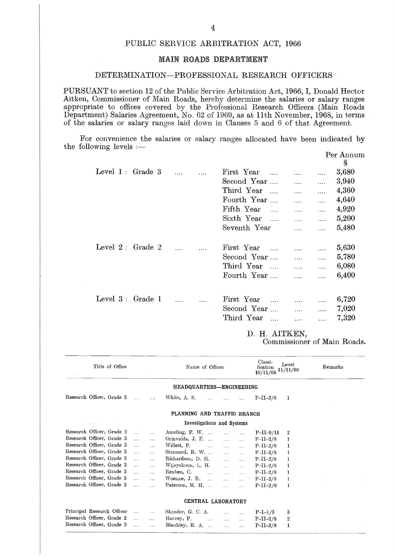### PUBLIC SERVICE ARBITRATION ACT, 1966

### **MAIN ROADS DEPARTMENT**

### DETERMINATION—PROFESSIONAL RESEARCH OFFICERS

PURSUANT to section 12 of the Public Service Arbitration Act, 1966, I, Donald Hector Aitken, Commissioner of Main Roads, hereby determine the salaries or salary ranges appropriate to offices covered by the Professional Research Officers (Main Roads Department) Salaries Agreement, No. 62 of 1969, as at 11th November, 1968, in terms of the salaries or salary ranges laid down in Clauses 5 and 6 of that Agreement.

For convenience the salaries or salary ranges allocated have been indicated by the following levels :—

| <b>MAIN ROADS DEPARTMENT</b>                                                                                                                                                                                                                                                                                                                                                                               |               |                                                                                                                                                                                                                                               |            |           |  |  |  |  |  |
|------------------------------------------------------------------------------------------------------------------------------------------------------------------------------------------------------------------------------------------------------------------------------------------------------------------------------------------------------------------------------------------------------------|---------------|-----------------------------------------------------------------------------------------------------------------------------------------------------------------------------------------------------------------------------------------------|------------|-----------|--|--|--|--|--|
| DETERMINATION-PROFESSIONAL RESEARCH OFFICERS                                                                                                                                                                                                                                                                                                                                                               |               |                                                                                                                                                                                                                                               |            |           |  |  |  |  |  |
| JANT to section 12 of the Public Service Arbitration Act, 1966, I, Donald Hector<br>Commissioner of Main Roads, hereby determine the salaries or salary ranges<br>riate to offices covered by the Professional Research Officers (Main Roads<br>ment) Salaries Agreement, No. 62 of 1969, as at 11th November, 1968, in terms<br>salaries or salary ranges laid down in Clauses 5 and 6 of that Agreement. |               |                                                                                                                                                                                                                                               |            |           |  |  |  |  |  |
| r convenience the salaries or salary ranges allocated have been indicated by<br>$\frac{1}{2}$ levels $\frac{1}{2}$                                                                                                                                                                                                                                                                                         |               |                                                                                                                                                                                                                                               |            | Per Annum |  |  |  |  |  |
|                                                                                                                                                                                                                                                                                                                                                                                                            |               |                                                                                                                                                                                                                                               |            | \$        |  |  |  |  |  |
| Level $1:$ Grade $3 \dots$                                                                                                                                                                                                                                                                                                                                                                                 | First Year    |                                                                                                                                                                                                                                               | $\ldots$   | 3,680     |  |  |  |  |  |
|                                                                                                                                                                                                                                                                                                                                                                                                            | Second Year   | $\ldots$                                                                                                                                                                                                                                      | $\ddotsc$  | 3,940     |  |  |  |  |  |
|                                                                                                                                                                                                                                                                                                                                                                                                            | Third Year    | $\cdots$                                                                                                                                                                                                                                      | $\ddotsc$  | 4,360     |  |  |  |  |  |
|                                                                                                                                                                                                                                                                                                                                                                                                            | Fourth Year   | $\cdots$                                                                                                                                                                                                                                      | $\cdots$   | 4,640     |  |  |  |  |  |
|                                                                                                                                                                                                                                                                                                                                                                                                            | Fifth Year    | $\cdots$                                                                                                                                                                                                                                      | $\cdots$   | 4,920     |  |  |  |  |  |
|                                                                                                                                                                                                                                                                                                                                                                                                            | Sixth Year    | $\frac{1}{2}$ , $\frac{1}{2}$ , $\frac{1}{2}$ , $\frac{1}{2}$ , $\frac{1}{2}$ , $\frac{1}{2}$ , $\frac{1}{2}$ , $\frac{1}{2}$ , $\frac{1}{2}$ , $\frac{1}{2}$ , $\frac{1}{2}$ , $\frac{1}{2}$ , $\frac{1}{2}$ , $\frac{1}{2}$ , $\frac{1}{2}$ | $\cdots$   | 5,200     |  |  |  |  |  |
|                                                                                                                                                                                                                                                                                                                                                                                                            | Seventh Year  | $\ldots$                                                                                                                                                                                                                                      | $\cdots$   | 5,480     |  |  |  |  |  |
| Level $2:$ Grade $2$<br>$\mathbf{1}$                                                                                                                                                                                                                                                                                                                                                                       | First Year    |                                                                                                                                                                                                                                               | $\ldots$   | 5,630     |  |  |  |  |  |
|                                                                                                                                                                                                                                                                                                                                                                                                            | Second Year   | $\mathbf{1},\mathbf{1},\mathbf{1},\ldots$ .                                                                                                                                                                                                   | $\ldots$   | 5,780     |  |  |  |  |  |
|                                                                                                                                                                                                                                                                                                                                                                                                            | Third Year    | $\cdots$                                                                                                                                                                                                                                      | $\dddotsc$ | 6,080     |  |  |  |  |  |
|                                                                                                                                                                                                                                                                                                                                                                                                            | Fourth Year   | $\dddotsc$                                                                                                                                                                                                                                    | $\dddotsc$ | 6,400     |  |  |  |  |  |
|                                                                                                                                                                                                                                                                                                                                                                                                            |               |                                                                                                                                                                                                                                               |            |           |  |  |  |  |  |
| Level 3: Grade 1<br>$\ldots$                                                                                                                                                                                                                                                                                                                                                                               | First Year    | $\mathbf{1}$ and $\mathbf{1}$ and $\mathbf{1}$                                                                                                                                                                                                | $\ddotsc$  | 6,720     |  |  |  |  |  |
|                                                                                                                                                                                                                                                                                                                                                                                                            | Second Year   | $\cdots$                                                                                                                                                                                                                                      | $\ddotsc$  | 7,020     |  |  |  |  |  |
|                                                                                                                                                                                                                                                                                                                                                                                                            | Third Year    | $\mathbf{L}$                                                                                                                                                                                                                                  | $\dddotsc$ | 7,320     |  |  |  |  |  |
|                                                                                                                                                                                                                                                                                                                                                                                                            | D. H. AITKEN, |                                                                                                                                                                                                                                               |            |           |  |  |  |  |  |
| Commissioner of Main Roads.                                                                                                                                                                                                                                                                                                                                                                                |               |                                                                                                                                                                                                                                               |            |           |  |  |  |  |  |
|                                                                                                                                                                                                                                                                                                                                                                                                            |               |                                                                                                                                                                                                                                               |            |           |  |  |  |  |  |

### D. H. AITKEN,

| $\mathbf{a}=\mathbf{a}$ . | Title of Office               |              |           | Name of Officer                  |                          |                                                | Classi-<br>$10/11/68$ $11/11/68$ | Level            | Remarks |  |
|---------------------------|-------------------------------|--------------|-----------|----------------------------------|--------------------------|------------------------------------------------|----------------------------------|------------------|---------|--|
|                           |                               |              |           | HEADQUARTERS-ENGINEERING         |                          |                                                |                                  |                  |         |  |
|                           | Research Officer, Grade 3     | $\cdots$     | $\ddotsc$ | White, A. S.<br>$\cdots$         |                          | $\cdots$                                       | $P-II-2/8$                       | 1                |         |  |
|                           |                               |              |           | PLANNING AND TRAFFIC BRANCH      |                          |                                                |                                  |                  |         |  |
|                           | the program of the control of |              |           | Investigations and Systems       |                          |                                                |                                  |                  |         |  |
|                           | Research Officer, Grade 2     | .            |           |                                  |                          |                                                | $P-II-9/11$                      | 2                |         |  |
|                           | Research Officer, Grade 3     | $\cdots$     | $\cdots$  | Grinvalds, J. F. $\dots$ $\dots$ |                          | $\cdots$                                       | $P-II-2/8$                       | 1                |         |  |
|                           | Research Officer, Grade 3     | .            | $\ddotsc$ | Willett, $P.$                    |                          | <b><i>Committee State State</i></b>            | $P-II-2/8$                       | ı                |         |  |
|                           | Research Officer, Grade 3     | $\cdots$     | $\cdots$  | Stannard, R. W.                  |                          | $\mathbf{r}$ and $\mathbf{r}$ and $\mathbf{r}$ | $P-II-2/8$                       | 1                |         |  |
|                           | Research Officer, Grade 3     | $\cdots$     | $\cdots$  | Richardson, D. H.                | $\mathbf{r}$             | $\ldots$                                       | $P-II-2/8$                       | 1                |         |  |
|                           | Research Officer, Grade 3     | $\cdots$     | $\ddotsc$ | Wijeyekoon, L. H.                | $\mathbf{r}$             | $\sim$                                         | $P-II-2/8$                       | ı                |         |  |
|                           | Research Officer, Grade 3     | $\cdots$     | $\cdots$  | Reuben, C.                       | $\cdots$                 | $\ddotsc$                                      | $P-II-2/8$                       | ı                |         |  |
|                           | Research Officer, Grade 3     | $\mathbf{r}$ | $\cdots$  | Woenne, J. R. $\dots$            |                          | and the same of                                | $P-II-2/8$                       | 1                | SAN COL |  |
|                           | Research Officer, Grade 3     | 1.1.1        | $\cdots$  | Paterson, M. H.                  | $\cdots$                 | $\cdots$                                       | $P-II-2/8$                       | 1                |         |  |
|                           |                               |              |           | CENTRAL LABORATORY               |                          |                                                |                                  |                  |         |  |
|                           | Principal Research Officer    | $\cdots$     | $\sim$    | Skender, G. C. A.                |                          | $\cdots$                                       | $P-I-1/3$                        | 3                |         |  |
|                           | Research Officer, Grade 2     | $\cdots$     | $\ddotsc$ | Harvey, P. $\ldots$ $\ldots$     |                          | $\cdots$                                       | $P-II-2/8$                       | $\boldsymbol{2}$ |         |  |
|                           | Research Officer, Grade 3     | .            | $\cdots$  | Blankley, R. A.                  | <b>Contract Contract</b> | $\ldots$                                       | $P-II-2/8$                       | ı                |         |  |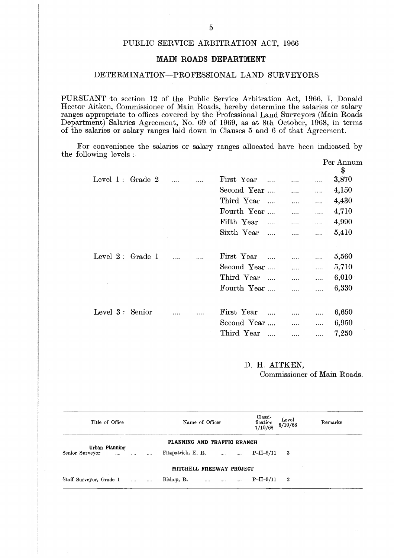### PUBLIC SERVICE ARBITRATION ACT, 1966

### **MAIN ROADS DEPARTMENT**

### DETERMINATION—PROFESSIONAL LAND SURVEYORS

PURSUANT to section 12 of the Public Service Arbitration Act, 1966, I, Donald Hector Aitken, Commissioner of Main Roads, hereby determine the salaries or salary ranges appropriate to offices covered by the Professional Land Surveyors (Main Roads Department) Salaries Agreement, No. 69 of 1969, as at 8th October, 1968, in terms of the salaries or salary ranges laid down in Clauses 5 and 6 of that Agreement.

For convenience the salaries or salary ranges allocated have been indicated by the following levels :— Per Annum

| DETERMINATION-PROFESSIONAL LAND SURVEYORS                                                                                                                                                                                                                                                                                                                                                             |          |                |                     |            |                 |
|-------------------------------------------------------------------------------------------------------------------------------------------------------------------------------------------------------------------------------------------------------------------------------------------------------------------------------------------------------------------------------------------------------|----------|----------------|---------------------|------------|-----------------|
| JANT to section 12 of the Public Service Arbitration Act, 1966, I, Donald<br>Aitken, Commissioner of Main Roads, hereby determine the salaries or salary<br>appropriate to offices covered by the Professional Land Surveyors (Main Roads<br>ment) Salaries Agreement, No. 69 of 1969, as at 8th October, 1968, in terms<br>salaries or salary ranges laid down in Clauses 5 and 6 of that Agreement. |          |                |                     |            |                 |
| r convenience the salaries or salary ranges allocated have been indicated by<br>$\overline{\text{owing levels}} :=$                                                                                                                                                                                                                                                                                   |          |                |                     |            |                 |
|                                                                                                                                                                                                                                                                                                                                                                                                       |          |                |                     |            | Per Annum<br>\$ |
| Level $1:$ Grade $2$                                                                                                                                                                                                                                                                                                                                                                                  | $\cdots$ | First Year     |                     | $\cdots$   | 3,870           |
|                                                                                                                                                                                                                                                                                                                                                                                                       |          | Second Year    | $\cdots$            | $\cdots$   | 4,150           |
|                                                                                                                                                                                                                                                                                                                                                                                                       |          | Third Year     | $\cdots$            | $\cdots$   | 4,430           |
|                                                                                                                                                                                                                                                                                                                                                                                                       |          | Fourth Year    | $\cdots$            | $\cdots$   | 4,710           |
|                                                                                                                                                                                                                                                                                                                                                                                                       |          | Fifth Year     |                     | $\cdots$   | 4,990           |
|                                                                                                                                                                                                                                                                                                                                                                                                       |          | Sixth Year     | $\cdots$            | $\cdots$   | 5,410           |
|                                                                                                                                                                                                                                                                                                                                                                                                       |          |                |                     |            |                 |
| Level $2:$ Grade 1                                                                                                                                                                                                                                                                                                                                                                                    |          | First Year     | $\cdots$ . $\cdots$ |            | 5,560           |
|                                                                                                                                                                                                                                                                                                                                                                                                       |          | Second Year    | $\cdots$            | $\cdots$   | 5,710           |
|                                                                                                                                                                                                                                                                                                                                                                                                       |          | Third Year     | $\cdots$            | $\cdots$   | 6,010           |
|                                                                                                                                                                                                                                                                                                                                                                                                       |          | Fourth Year    | $\cdots$            | $\cdots$   | 6,330           |
|                                                                                                                                                                                                                                                                                                                                                                                                       |          |                |                     |            |                 |
| Level 3: Senior                                                                                                                                                                                                                                                                                                                                                                                       |          | First Year     |                     |            | 6,650           |
|                                                                                                                                                                                                                                                                                                                                                                                                       |          | Second Year    |                     | $\dddotsc$ | 6,950           |
|                                                                                                                                                                                                                                                                                                                                                                                                       |          | Third Year     | $\cdots$            | $\cdots$   | 7,250           |
|                                                                                                                                                                                                                                                                                                                                                                                                       |          |                |                     |            |                 |
|                                                                                                                                                                                                                                                                                                                                                                                                       |          | D IT AIRLY DAT |                     |            |                 |

### D. H. AITKEN,

 $\sim$  $\sim 1$  .

|                                                          | __ . __ . __ . __ .__ .__ ._<br>Commissioner of Main Roads.       |                                                    |         |  |  |
|----------------------------------------------------------|-------------------------------------------------------------------|----------------------------------------------------|---------|--|--|
| Title of Office                                          | Name of Officer                                                   | Classi-<br>Level<br>fication<br>8/10/68<br>7/10/68 | Remarks |  |  |
|                                                          | PLANNING AND TRAFFIC BRANCH                                       |                                                    |         |  |  |
| Urban Planning<br>Senior Surveyor<br><b>Contractor</b>   |                                                                   | $P-II-9/11$<br>3                                   |         |  |  |
|                                                          | MITCHELL FREEWAY PROJECT                                          |                                                    |         |  |  |
| Staff Surveyor, Grade 1<br>$\mathbf{m}$ and $\mathbf{m}$ | Bishop, R.<br>and the company of the state of the<br><br>$\ldots$ | $\boldsymbol{2}$<br>$P-II-9/11$                    |         |  |  |